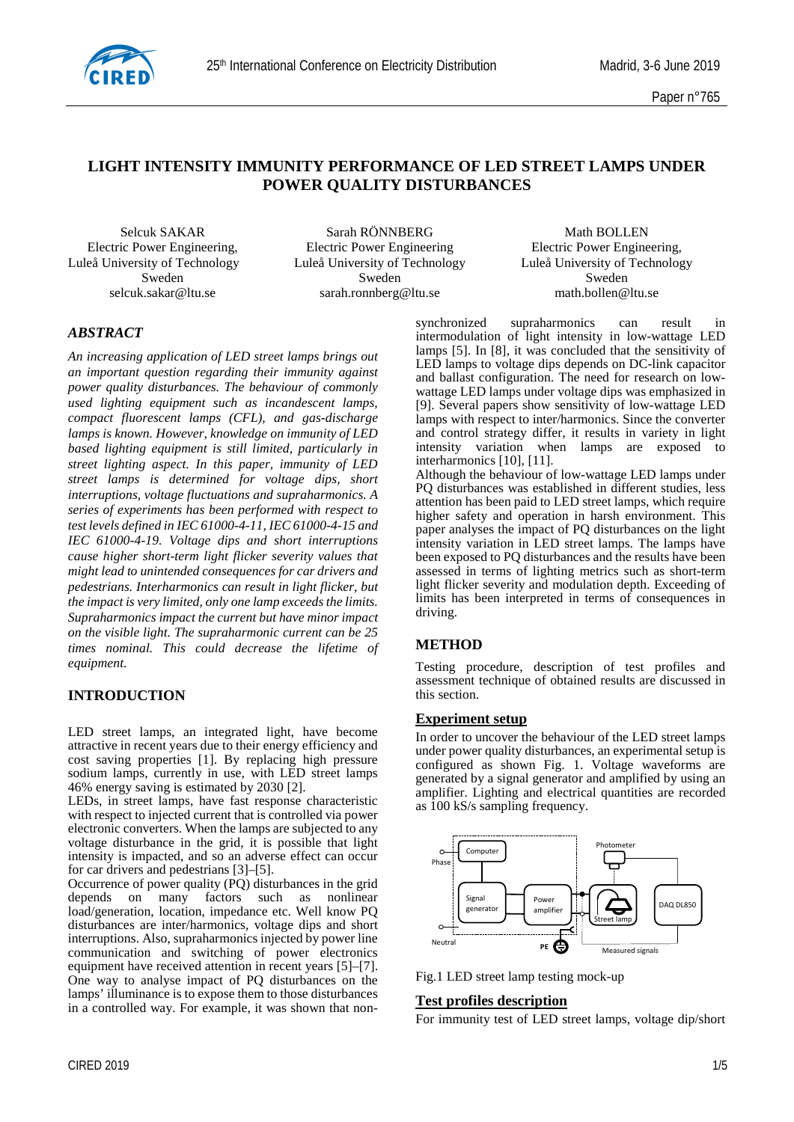

## **LIGHT INTENSITY IMMUNITY PERFORMANCE OF LED STREET LAMPS UNDER POWER QUALITY DISTURBANCES**

Selcuk SAKAR Sarah RÖNNBERG Math BOLLEN Electric Power Engineering, Electric Power Engineering Electric Power Engineering, Luleå University of Technology Luleå University of Technology Luleå University of Technology Sweden Sweden Sweden selcuk.sakar@ltu.se sarah.ronnberg@ltu.se math.bollen@ltu.se

## *ABSTRACT*

*An increasing application of LED street lamps brings out an important question regarding their immunity against power quality disturbances. The behaviour of commonly used lighting equipment such as incandescent lamps, compact fluorescent lamps (CFL), and gas-discharge lamps is known. However, knowledge on immunity of LED based lighting equipment is still limited, particularly in street lighting aspect. In this paper, immunity of LED street lamps is determined for voltage dips, short interruptions, voltage fluctuations and supraharmonics. A series of experiments has been performed with respect to test levels defined in IEC 61000-4-11, IEC 61000-4-15 and IEC 61000-4-19. Voltage dips and short interruptions cause higher short-term light flicker severity values that might lead to unintended consequences for car drivers and pedestrians. Interharmonics can result in light flicker, but the impact is very limited, only one lamp exceeds the limits. Supraharmonics impact the current but have minor impact on the visible light. The supraharmonic current can be 25 times nominal. This could decrease the lifetime of equipment.*

## **INTRODUCTION**

LED street lamps, an integrated light, have become attractive in recent years due to their energy efficiency and cost saving properties [1]. By replacing high pressure sodium lamps, currently in use, with LED street lamps 46% energy saving is estimated by 2030 [2].

LEDs, in street lamps, have fast response characteristic with respect to injected current that is controlled via power electronic converters. When the lamps are subjected to any voltage disturbance in the grid, it is possible that light intensity is impacted, and so an adverse effect can occur for car drivers and pedestrians [3]–[5].

Occurrence of power quality (PQ) disturbances in the grid depends on many factors such as nonlinear load/generation, location, impedance etc. Well know PQ disturbances are inter/harmonics, voltage dips and short interruptions. Also, supraharmonics injected by power line communication and switching of power electronics equipment have received attention in recent years [5]–[7]. One way to analyse impact of PQ disturbances on the lamps' illuminance is to expose them to those disturbances in a controlled way. For example, it was shown that nonsynchronized supraharmonics can result in intermodulation of light intensity in low-wattage LED lamps [5]. In [8], it was concluded that the sensitivity of LED lamps to voltage dips depends on DC-link capacitor and ballast configuration. The need for research on lowwattage LED lamps under voltage dips was emphasized in [9]. Several papers show sensitivity of low-wattage LED lamps with respect to inter/harmonics. Since the converter and control strategy differ, it results in variety in light intensity variation when lamps are exposed to interharmonics [10], [11].

Although the behaviour of low-wattage LED lamps under PQ disturbances was established in different studies, less attention has been paid to LED street lamps, which require higher safety and operation in harsh environment. This paper analyses the impact of PQ disturbances on the light intensity variation in LED street lamps. The lamps have been exposed to PQ disturbances and the results have been assessed in terms of lighting metrics such as short-term light flicker severity and modulation depth. Exceeding of limits has been interpreted in terms of consequences in driving.

## **METHOD**

Testing procedure, description of test profiles and assessment technique of obtained results are discussed in this section.

### **Experiment setup**

In order to uncover the behaviour of the LED street lamps under power quality disturbances, an experimental setup is configured as shown Fig. 1. Voltage waveforms are generated by a signal generator and amplified by using an amplifier. Lighting and electrical quantities are recorded as 100 kS/s sampling frequency.



Fig.1 LED street lamp testing mock-up

### **Test profiles description**

For immunity test of LED street lamps, voltage dip/short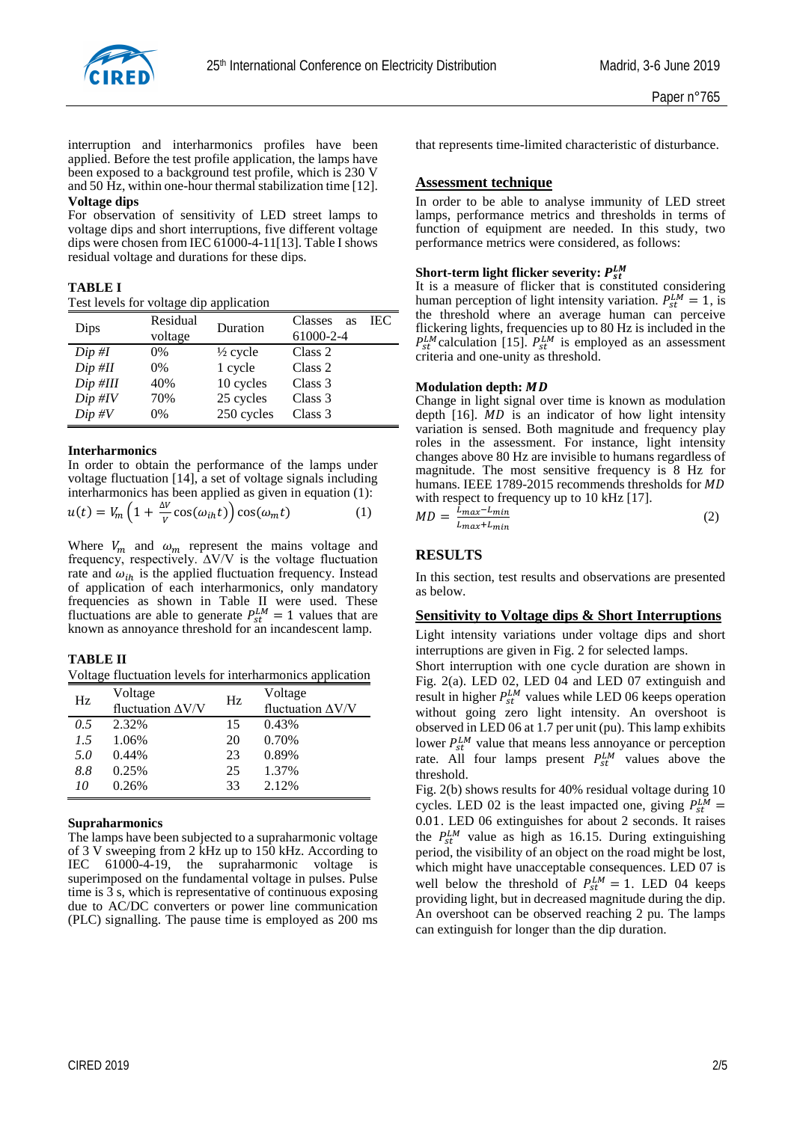

interruption and interharmonics profiles have been applied. Before the test profile application, the lamps have been exposed to a background test profile, which is 230 V and 50 Hz, within one-hour thermal stabilization time [12].

### **Voltage dips**

For observation of sensitivity of LED street lamps to voltage dips and short interruptions, five different voltage dips were chosen from IEC 61000-4-11[13]. Table I shows residual voltage and durations for these dips.

### **TABLE I**

#### Test levels for voltage dip application

| Dips         | Residual<br>voltage | Duration            | <b>IEC</b><br><b>Classes</b><br>as<br>61000-2-4 |
|--------------|---------------------|---------------------|-------------------------------------------------|
| $Dip \#I$    | 0%                  | $\frac{1}{2}$ cycle | Class 2                                         |
| $Dip$ # $II$ | 0%                  | 1 cycle             | Class 2                                         |
| Dip #III     | 40%                 | 10 cycles           | Class 3                                         |
| Dip #IV      | 70%                 | 25 cycles           | Class 3                                         |
| $Dip \#V$    | 0%                  | 250 cycles          | Class 3                                         |

### **Interharmonics**

In order to obtain the performance of the lamps under voltage fluctuation [14], a set of voltage signals including interharmonics has been applied as given in equation (1):

$$
u(t) = V_m \left( 1 + \frac{\Delta V}{V} \cos(\omega_{ih} t) \right) \cos(\omega_m t) \tag{1}
$$

Where  $V_m$  and  $\omega_m$  represent the mains voltage and frequency, respectively.  $\Delta V/V$  is the voltage fluctuation rate and  $\omega_{ih}$  is the applied fluctuation frequency. Instead of application of each interharmonics, only mandatory frequencies as shown in Table II were used. These fluctuations are able to generate  $P_{st}^{LM} = 1$  values that are known as annoyance threshold for an incandescent lamp.

### **TABLE II**

Voltage fluctuation levels for interharmonics application

| Hz  | Voltage<br>fluctuation AV/V | Hz | Voltage<br>fluctuation $\Delta V/V$ |  |  |
|-----|-----------------------------|----|-------------------------------------|--|--|
| 0.5 | 2.32%                       | 15 | 0.43%                               |  |  |
| 1.5 | 1.06%                       | 20 | 0.70%                               |  |  |
| 5.0 | $0.44\%$                    | 23 | 0.89%                               |  |  |
| 8.8 | 0.25%                       | 25 | 1.37%                               |  |  |
| 10  | 0.26%                       | 33 | 2.12%                               |  |  |

### **Supraharmonics**

The lamps have been subjected to a supraharmonic voltage of 3 V sweeping from 2 kHz up to 150 kHz. According to IEC 61000-4-19, the supraharmonic voltage is superimposed on the fundamental voltage in pulses. Pulse time is 3 s, which is representative of continuous exposing due to AC/DC converters or power line communication (PLC) signalling. The pause time is employed as 200 ms that represents time-limited characteristic of disturbance.

### **Assessment technique**

In order to be able to analyse immunity of LED street lamps, performance metrics and thresholds in terms of function of equipment are needed. In this study, two performance metrics were considered, as follows:

# **Short-term light flicker severity:**

It is a measure of flicker that is constituted considering human perception of light intensity variation.  $P_{st}^{LM} = 1$ , is the threshold where an average human can perceive flickering lights, frequencies up to 80 Hz is included in the  $P_{st}^{LM}$  calculation [15].  $P_{st}^{LM}$  is employed as an assessment criteria and one-unity as threshold.

### **Modulation depth:**

Change in light signal over time is known as modulation depth  $[16]$ .  $MD$  is an indicator of how light intensity variation is sensed. Both magnitude and frequency play roles in the assessment. For instance, light intensity changes above 80 Hz are invisible to humans regardless of magnitude. The most sensitive frequency is 8 Hz for humans. IEEE 1789-2015 recommends thresholds for MD with respect to frequency up to 10 kHz [17].

$$
MD = \frac{L_{max} - L_{min}}{L_{max} + L_{min}} \tag{2}
$$

## **RESULTS**

In this section, test results and observations are presented as below.

## **Sensitivity to Voltage dips & Short Interruptions**

Light intensity variations under voltage dips and short interruptions are given in Fig. 2 for selected lamps.

Short interruption with one cycle duration are shown in Fig. 2(a). LED 02, LED 04 and LED 07 extinguish and result in higher  $P_{st}^{LM}$  values while LED 06 keeps operation without going zero light intensity. An overshoot is observed in LED 06 at 1.7 per unit (pu). This lamp exhibits lower  $P_{st}^{LM}$  value that means less annoyance or perception rate. All four lamps present  $P_{st}^{LM}$  values above the threshold.

Fig. 2(b) shows results for 40% residual voltage during 10 cycles. LED 02 is the least impacted one, giving  $P_{st}^{LM}$  = 0.01. LED 06 extinguishes for about 2 seconds. It raises the  $P_{st}^{LM}$  value as high as 16.15. During extinguishing period, the visibility of an object on the road might be lost, which might have unacceptable consequences. LED 07 is well below the threshold of  $P_{st}^{LM} = 1$ . LED 04 keeps providing light, but in decreased magnitude during the dip. An overshoot can be observed reaching 2 pu. The lamps can extinguish for longer than the dip duration.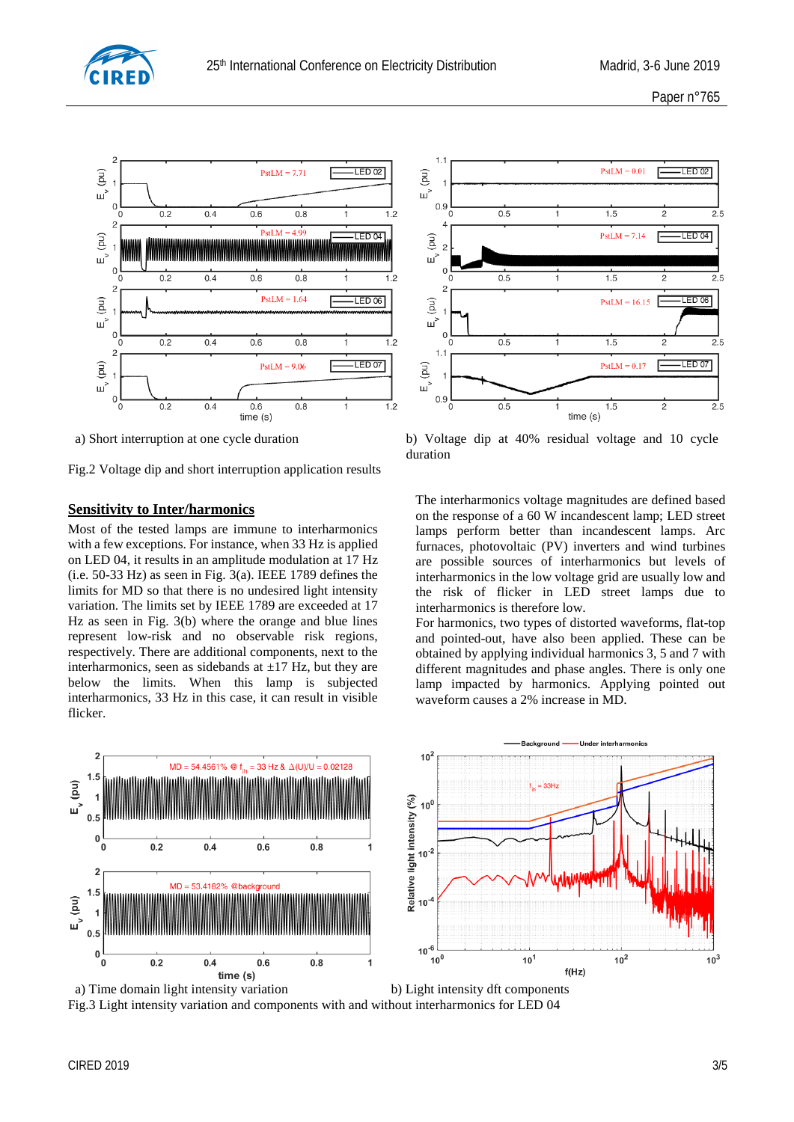



Fig.2 Voltage dip and short interruption application results

## **Sensitivity to Inter/harmonics**

Most of the tested lamps are immune to interharmonics with a few exceptions. For instance, when 33 Hz is applied on LED 04, it results in an amplitude modulation at 17 Hz (i.e.  $50-33$  Hz) as seen in Fig.  $3(a)$ . IEEE 1789 defines the limits for MD so that there is no undesired light intensity variation. The limits set by IEEE 1789 are exceeded at 17 Hz as seen in Fig. 3(b) where the orange and blue lines represent low-risk and no observable risk regions, respectively. There are additional components, next to the interharmonics, seen as sidebands at  $\pm$ 17 Hz, but they are below the limits. When this lamp is subjected interharmonics, 33 Hz in this case, it can result in visible flicker.







a) Short interruption at one cycle duration b) Voltage dip at 40% residual voltage and 10 cycle duration

The interharmonics voltage magnitudes are defined based on the response of a 60 W incandescent lamp; LED street lamps perform better than incandescent lamps. Arc furnaces, photovoltaic (PV) inverters and wind turbines are possible sources of interharmonics but levels of interharmonics in the low voltage grid are usually low and the risk of flicker in LED street lamps due to interharmonics is therefore low.

For harmonics, two types of distorted waveforms, flat-top and pointed-out, have also been applied. These can be obtained by applying individual harmonics 3, 5 and 7 with different magnitudes and phase angles. There is only one lamp impacted by harmonics. Applying pointed out waveform causes a 2% increase in MD.

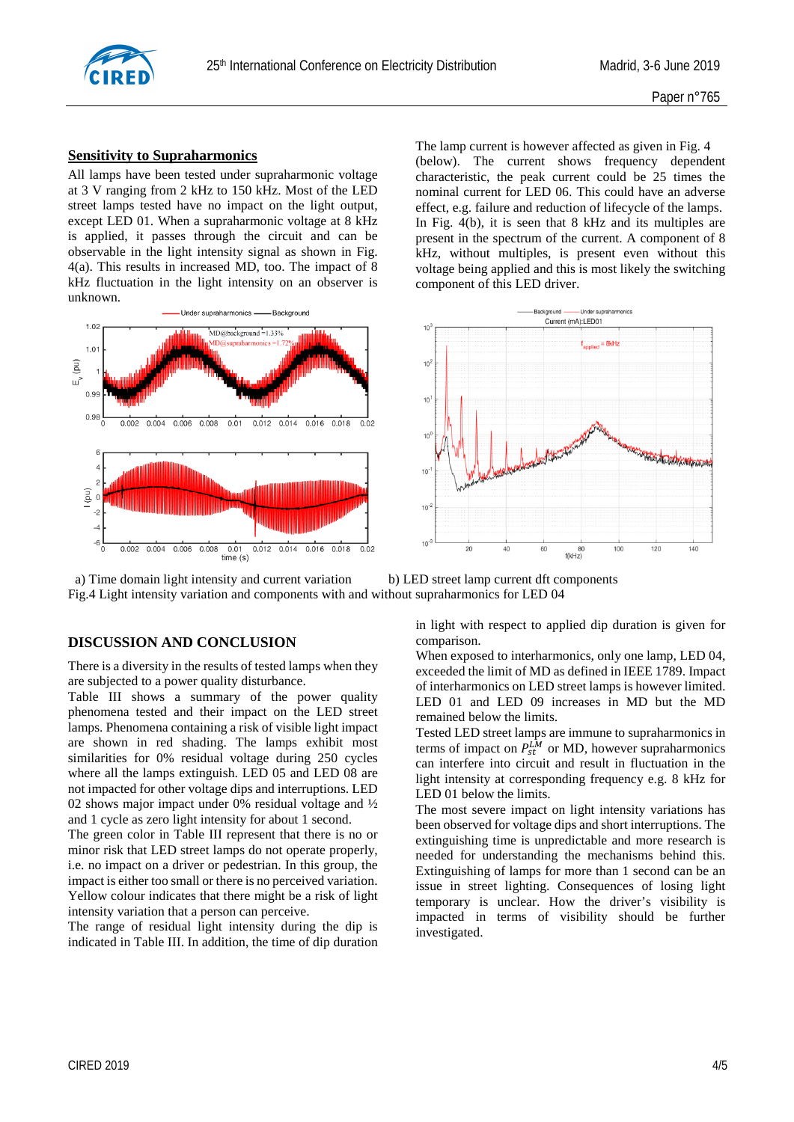

## **Sensitivity to Supraharmonics**

All lamps have been tested under supraharmonic voltage at 3 V ranging from 2 kHz to 150 kHz. Most of the LED street lamps tested have no impact on the light output, except LED 01. When a supraharmonic voltage at 8 kHz is applied, it passes through the circuit and can be observable in the light intensity signal as shown in Fig. 4(a). This results in increased MD, too. The impact of 8 kHz fluctuation in the light intensity on an observer is unknown.



The lamp current is however affected as given in Fig. 4 (below). The current shows frequency dependent characteristic, the peak current could be 25 times the nominal current for LED 06. This could have an adverse effect, e.g. failure and reduction of lifecycle of the lamps. In Fig. 4(b), it is seen that 8 kHz and its multiples are present in the spectrum of the current. A component of 8 kHz, without multiples, is present even without this voltage being applied and this is most likely the switching component of this LED driver.



a) Time domain light intensity and current variation b) LED street lamp current dft components Fig.4 Light intensity variation and components with and without supraharmonics for LED 04

## **DISCUSSION AND CONCLUSION**

There is a diversity in the results of tested lamps when they are subjected to a power quality disturbance.

Table III shows a summary of the power quality phenomena tested and their impact on the LED street lamps. Phenomena containing a risk of visible light impact are shown in red shading. The lamps exhibit most similarities for 0% residual voltage during 250 cycles where all the lamps extinguish. LED 05 and LED 08 are not impacted for other voltage dips and interruptions. LED 02 shows major impact under 0% residual voltage and  $\frac{1}{2}$ and 1 cycle as zero light intensity for about 1 second.

The green color in Table III represent that there is no or minor risk that LED street lamps do not operate properly, i.e. no impact on a driver or pedestrian. In this group, the impact is either too small or there is no perceived variation. Yellow colour indicates that there might be a risk of light intensity variation that a person can perceive.

The range of residual light intensity during the dip is indicated in Table III. In addition, the time of dip duration in light with respect to applied dip duration is given for comparison.

When exposed to interharmonics, only one lamp, LED 04, exceeded the limit of MD as defined in IEEE 1789. Impact of interharmonics on LED street lamps is however limited. LED 01 and LED 09 increases in MD but the MD remained below the limits.

Tested LED street lamps are immune to supraharmonics in terms of impact on  $P_{st}^{LM}$  or MD, however supraharmonics can interfere into circuit and result in fluctuation in the light intensity at corresponding frequency e.g. 8 kHz for LED 01 below the limits.

The most severe impact on light intensity variations has been observed for voltage dips and short interruptions. The extinguishing time is unpredictable and more research is needed for understanding the mechanisms behind this. Extinguishing of lamps for more than 1 second can be an issue in street lighting. Consequences of losing light temporary is unclear. How the driver's visibility is impacted in terms of visibility should be further investigated.